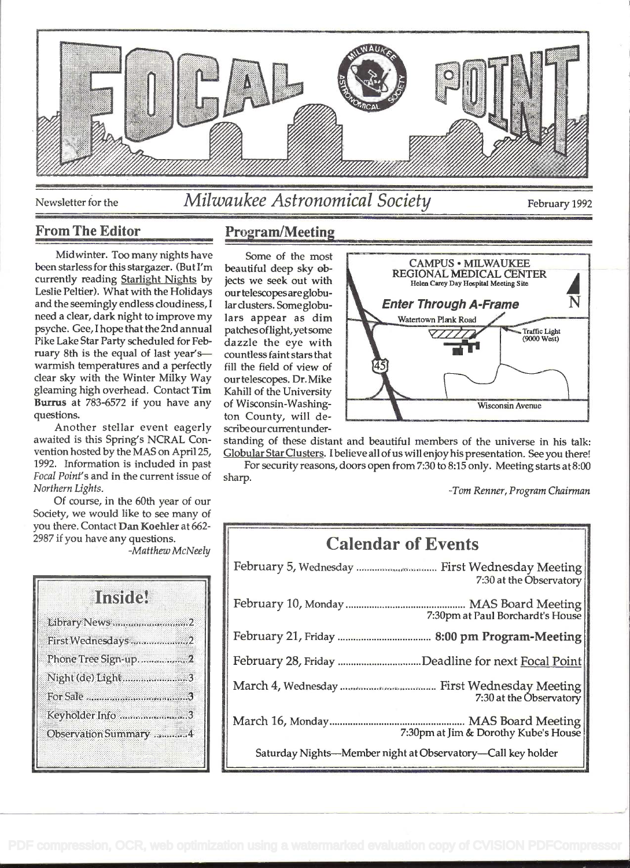

## Newsletter for the *Milwaukee Astronomical Society* February 1992

#### From The Editor

Midwinter. Too many nights have been starlessfor this stargazer. (But I'm currently reading Starlight Nights by Leslie Peltier). What with the Holidays and the seemingly endless cloudiness, <sup>I</sup> need a clear, dark night to improve my psyche. Gee, I hope that the 2nd annual Pike Lake Star Party scheduled for February 8th is the equal of last year'swarmish temperatures and a perfectly clear sky with the Winter Milky Way gleaming high overhead. Contact Tim Burrus at 783-6572 if you have any questions.

Another stellar event eagerly awaited is this Spring's NCRAL Convention hosted by the MAS on April25, 1992. Information is included in past Focal Point's and in the current issue of Northern Lights.

Of course, in the 60th year of our Society, we would like to see many of you there. Contact Dan Koehler at 662-2987 if you have any questions.

-Matthew McNeely

| Inside                |  |
|-----------------------|--|
| Library News 2        |  |
| First Wednesdays 2    |  |
| Phone Tree Sign-up2   |  |
| Night (de) Light3     |  |
|                       |  |
| Keyholder Info 3      |  |
| Observation Summary 4 |  |

### Program/Meeting

Some of the most beautiful deep sky objects we seek out with our telescopes are globularclusters. Some globulars appear as dim patches of light, yet some dazzle the eye with countless faint stars that fill the field of view of our telescopes. Dr. Mike Kahill of the University of Wisconsin-Washington County, will describe our currentunder-



standing of these distant and beautiful members of the universe in his talk: Globular Star Clusters. I believe all of us will enjoy his presentation. See you there!

For security reasons, doors open from 7:30 to 8:15 only. Meeting starts at 8:00 sharp.

-Tom Renner, Program Chairman

# Calendar of Events February 5, Wednesday ............................... First Wednesday Meeting 7:30 at the Observatory February 10, Monday .............................................. MAS Board Meeting 7:30pm at Paul Borchardt's House February 21, Friday .................................... 8:00 pm Program-Meeting February 28, Friday ................................Deadline for next Focal Point March 4, Wednesday ..................................... First Wednesday Meeting 7:30 at the Observatory March 16, Monday .................................................... MAS Board Meeting 7:30pm at Jim & Dorothy Kube's House Saturday Nights-Member night at Observatory-Call key holder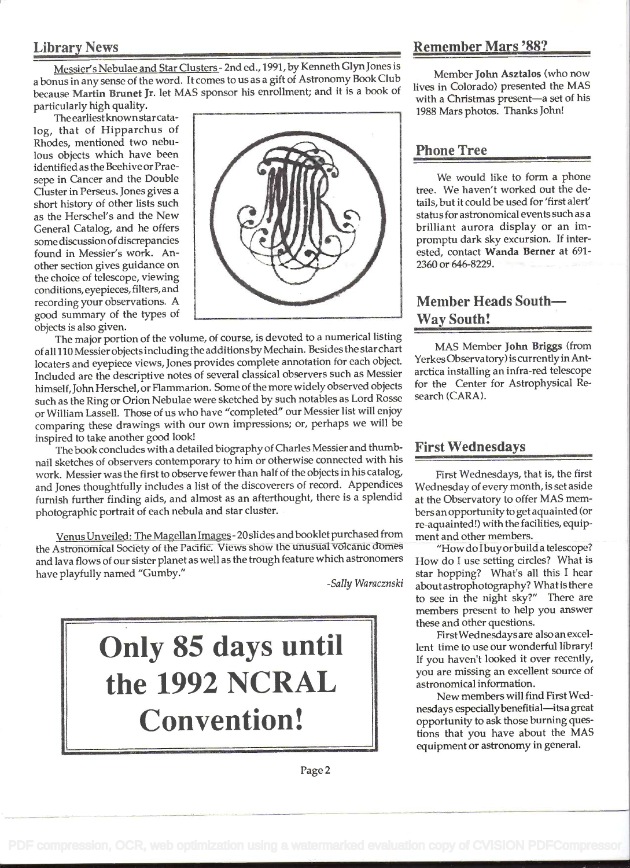### Library News

Messier's Nebulae and Star Clusters - 2nd ed., 1991, by Kenneth Glyn Jones is <sup>a</sup>bonus in any sense of the word. It comes to us as a gift of Astronomy Book Club because Martin Brunet Jr. let MAS sponsor his enrollment; and it is a book of particularly high quality.

The earliestknown star catalog, that of Hipparchus of Rhodes, mentioned two nebulous objects which have been identified as the Beehive or Praesepe in Cancer and the Double Cluster in Perseus. Jones gives a short history of other lists such as the Herschel's and the New General Catalog, and he offers some discussion of discrepancies found in Messier's work. Another section gives guidance on the choice of telescope, viewing conditions, eyepieces, filters, and recording your observations. A good summary of the types of objects is also given.



The major portion of the volume, of course, is devoted to a numerical listing ofall I 10 Messier objects includingthe additions by Mechain. Besides the star chart locaters and eyepiece views, Jones provides complete annotation for each object. Included are the descriptive notes of several classical observers such as Messier himself, John Herschel, or Flammarion. Some of the more widely observed objects such as the Ring or Orion Nebulae were sketched by such notables as Lord Rosse or William Lassell. Those of us who have "completed" our Messier list will enjoy comparing these drawings with our own impressions; or, perhaps we will be inspired to take another good look!

The book concludes with a detailed biography of Charles Messier and thumbnail sketches of observers contemporary to him or otherwise connected with his work. Messier was the first to observe fewer than half of the objects in his catalog, and Jones thoughtfully includes a list of the discoverers of record. Appendices furnish further finding aids, and almost as an afterthought, there is a splendid photographic portrait of each nebula and star cluster.

Venus Unveiled: The Magellan Images - 20 slides and booklet purchased from the Astronomical Society of the Pacific. Views show the unusual volcanic domes and lava flows of our sister planet as well as the trough feature which astronomers have playfully named "Gumby."

-Sally Waracznski



### Remember Mars '88?

Member John Asztalos (who now lives in Colorado) presented the MAS with a Christmas present-a set of his 1988 Mars photos. Thanks John!

### Phone Tree

We would like to form a phone tree. We haven't worked out the details, but it could be used for 'first alert' status for astronomical events such as a brilliant aurora display or an impromptu dark sky excursion. If interested, contact Wanda Berner at 691- 2360 or 646-8229.

## Member Heads South-Way South!

MAS Member John Briggs (from Yerkes Observatory) is currently in Antarctica installing an infra-red telescope for the Center for Astrophysical Research (CARA).

### First Wednesdays

First Wednesdays, that is, the first Wednesday of every month, is set aside at the Observatory to offer MAS members an opportunity to get aquainted (or re-aquainted!) with the facilities, equipment and other members.

"How do I buy or build a telescope? How do I use setting circles? What is star hopping? What's all this I hear aboutastrophotography? What is ther e to see in the night sky?" There are members present to help you answer these and other questions.

FirstWednesdays are also an excellent time to use our wonderful library! If you haven't looked it over recently, you are missing an excellent source of astronomical information.

New members will find First Wednesdays especially benefitial-its a great opportunity to ask those burning quesfions that you have about the MAS equipment or astronomy in general.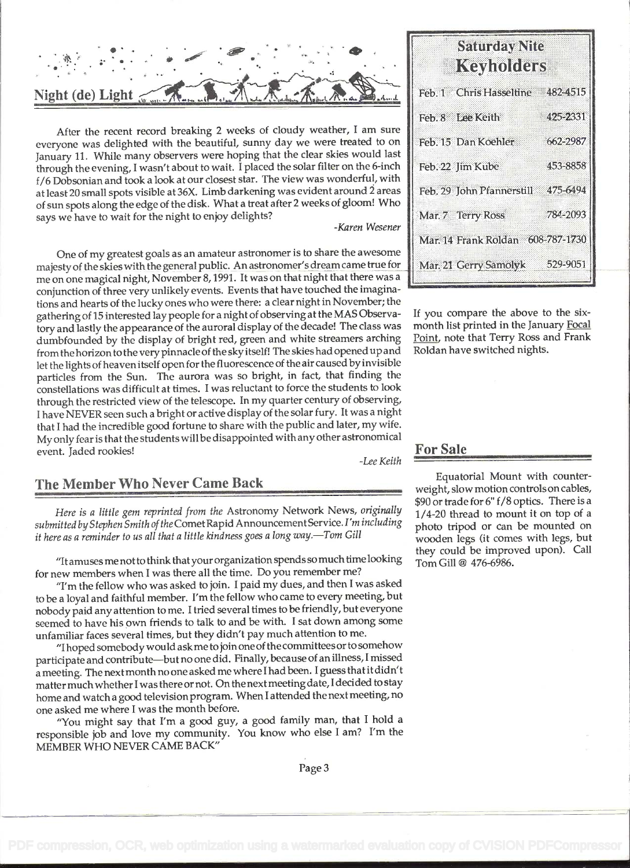.<br>. . .<br>. . . . : Night (de) Light .-  $\sim$   $\sim$   $\sim$ .1.

After the recent record breaking 2 weeks of cloudy weather, I am sure everyone was delighted with the beautiful, sunny day we were treated to on January 11. While many observers were hoping that the clear skies would last through the evening, I wasn't about to wait. I placed the solar filter on the 6-inch f/6 Dobsonian and took a look at our closest star. The view was wonderful, with at least 20 small spots visible at 36X. Limb darkening was evident around 2 areas of sun spots along the edge of the disk. What a treat after 2 weeks of gloom! Who says we have to wait for the night to enjoy delights?

-Karen Wesener

One of my greatest goals as an amateur astronomer is to share the awesome majesty of the skies with the general public. An astronomer's dream came true for me on one magical night, November 8, 1991. It was on that night that there was a conjunction of three very unlikely events. Events that have touched the imaginations and hearts of the lucky ones who were there: a clear night in November; the gathering of 15 interested lay people for a night of observing at the MAS Observatory and lastly the appearance of the auroral display of the decade! The class was dumbfounded by the display of bright red, green and white streamers arching from the horizon to the very pinnacle of the sky itself! The skies had opened up and let the lights of heaven itself open for the fluorescence of the air caused by invisible particles from the Sun. The aurora was so bright, in fact, that finding the constellations was difficult at times. I was reluctant to force the students to look through the restricted view of the telescope. In my quarter century of observing, <sup>I</sup>have NEVER seen such a bright or active display of the solar fury. It was a night that I had the incredible good fortune to share with the public and later, my wife. My only fear is that the students will be disappointed with any other astronomical event. Jaded rookies! -Lee Keith

### The Member Who Never Came Back

Here is a little gem reprinted from the Astronomy Network News, originally submitted by Stephen Smith of the Comet Rapid Announcement Service. I'm including it here as a reminder to us all that a little kindness goes a long way.-Tom Gill

"Itamuses me not to think thatyour organization spends so much time looking for new members when I was there all the time. Do you remember me?

"I'm the fellow who was asked to join. I paid my dues, and then I was asked to be a loyal and faithful member. I'm the fellow who came to every meeting, but nobody paid any attention to me. I tried several times to be friendly, but everyone seemed to have his own friends to talk to and be with. I sat down among some unfamiliar faces several times, but they didn't pay much attention to me.

"I hoped somebody would ask me to join one of the committees or to somehow participate and contribute-but no one did. Finally, because of an illness, I missed <sup>a</sup>meeting. The next month no one asked me where I had been. I guess that it didn't matter much whether I was there or not. On the next meeting date, I decided to stay home and watch a good television program. When I attended the next meeting, no one asked me where I was the month before.

"You might say that I'm a good guy, a good family man, that I hold a responsible job and love my community. You know who else I am? I'm the MEMBER WHO NEVER CAME BACK"

## **Saturday Nite** Keyholders

| Feb. 1 Chris Hasseltine 482-4515   |          |
|------------------------------------|----------|
| Feb. 8 Lee Keith                   | 425-2331 |
| Feb. 15 Dan Koehler                | 662-2987 |
| Feb. 22 Jim Kube                   | 453-8858 |
| Feb. 29 John Pfannerstill 475-6494 |          |
| Mar. 7 Terry Ross                  | 784-2093 |
| Mar. 14 Frank Roldan 608-787-1730  |          |
| Mar. 21 Gerry Samolyk              | 529-9051 |

If you compare the above to the sixmonth list printed in the January Focal Point, note that Terry Ross and Frank Roldan have switched nights.

### For Sale

Equatorial Mount with counterweight, slow motion controls on cables, \$90 or trade for 6" f/8 optics. There is a 1/4-20 thread to mount it on top of a photo tripod or can be mounted on wooden legs (it comes with legs, but they could be improved upon). Call Tom Gill @ 476-6986.